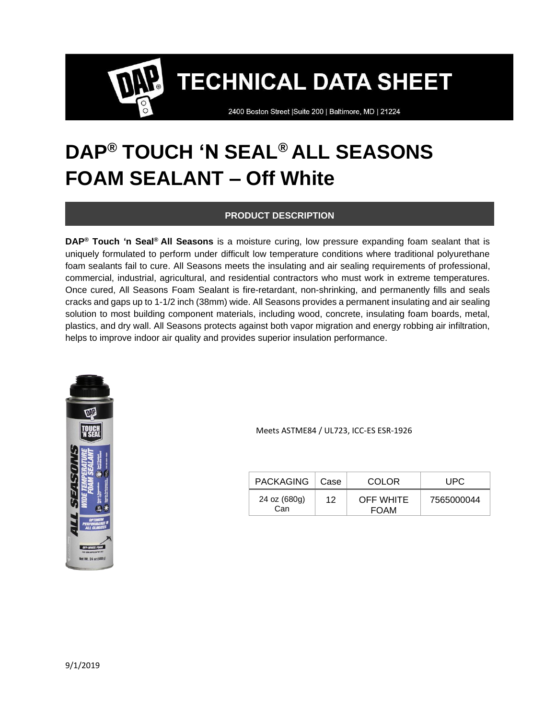2400 Boston Street | Suite 200 | Baltimore, MD | 21224

# **DAP® TOUCH 'N SEAL® ALL SEASONS FOAM SEALANT – Off White**

#### **PRODUCT DESCRIPTION**

**DAP® Touch 'n Seal® All Seasons** is a moisture curing, low pressure expanding foam sealant that is uniquely formulated to perform under difficult low temperature conditions where traditional polyurethane foam sealants fail to cure. All Seasons meets the insulating and air sealing requirements of professional, commercial, industrial, agricultural, and residential contractors who must work in extreme temperatures. Once cured, All Seasons Foam Sealant is fire-retardant, non-shrinking, and permanently fills and seals cracks and gaps up to 1-1/2 inch (38mm) wide. All Seasons provides a permanent insulating and air sealing solution to most building component materials, including wood, concrete, insulating foam boards, metal, plastics, and dry wall. All Seasons protects against both vapor migration and energy robbing air infiltration, helps to improve indoor air quality and provides superior insulation performance.



Meets ASTME84 / UL723, ICC-ES ESR-1926

| PACKAGING   Case    |    | <b>COLOR</b>                    | UPC.       |
|---------------------|----|---------------------------------|------------|
| 24 oz (680g)<br>Can | 12 | <b>OFF WHITE</b><br><b>FOAM</b> | 7565000044 |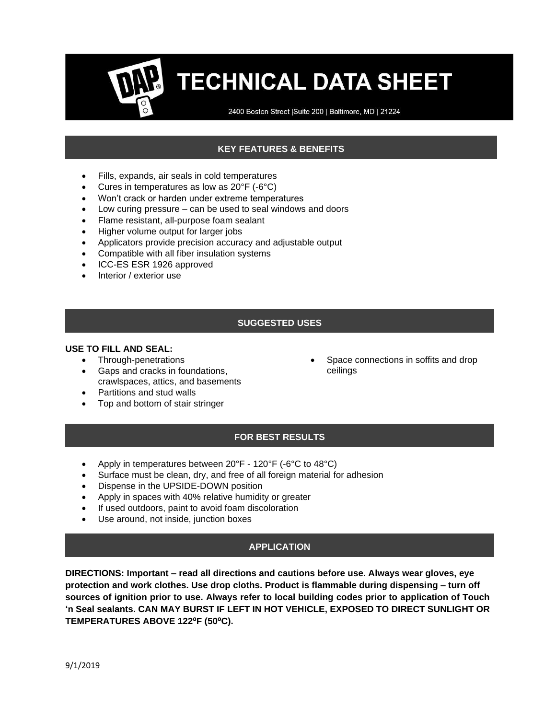2400 Boston Street | Suite 200 | Baltimore, MD | 21224

### **KEY FEATURES & BENEFITS**

- Fills, expands, air seals in cold temperatures
- Cures in temperatures as low as 20°F (-6°C)
- Won't crack or harden under extreme temperatures
- Low curing pressure can be used to seal windows and doors
- Flame resistant, all-purpose foam sealant
- Higher volume output for larger jobs
- Applicators provide precision accuracy and adjustable output
- Compatible with all fiber insulation systems
- ICC-ES ESR 1926 approved
- Interior / exterior use

#### **SUGGESTED USES**

#### **USE TO FILL AND SEAL:**

- Through-penetrations
- Gaps and cracks in foundations, crawlspaces, attics, and basements
- Partitions and stud walls
- Top and bottom of stair stringer

Space connections in soffits and drop ceilings

#### **FOR BEST RESULTS**

- Apply in temperatures between 20°F 120°F (-6°C to 48°C)
- Surface must be clean, dry, and free of all foreign material for adhesion
- Dispense in the UPSIDE-DOWN position
- Apply in spaces with 40% relative humidity or greater
- If used outdoors, paint to avoid foam discoloration
- Use around, not inside, junction boxes

#### **APPLICATION**

**DIRECTIONS: Important – read all directions and cautions before use. Always wear gloves, eye protection and work clothes. Use drop cloths. Product is flammable during dispensing – turn off sources of ignition prior to use. Always refer to local building codes prior to application of Touch 'n Seal sealants. CAN MAY BURST IF LEFT IN HOT VEHICLE, EXPOSED TO DIRECT SUNLIGHT OR TEMPERATURES ABOVE 122⁰F (50⁰C).**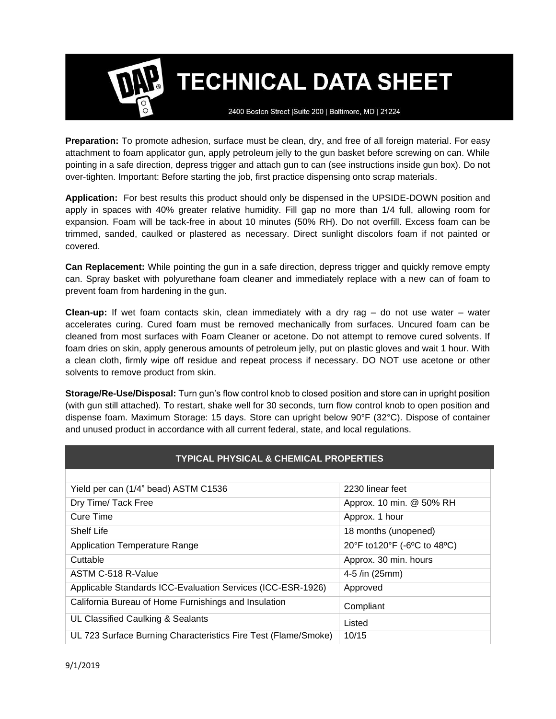2400 Boston Street | Suite 200 | Baltimore, MD | 21224

**Preparation:** To promote adhesion, surface must be clean, dry, and free of all foreign material. For easy attachment to foam applicator gun, apply petroleum jelly to the gun basket before screwing on can. While pointing in a safe direction, depress trigger and attach gun to can (see instructions inside gun box). Do not over-tighten. Important: Before starting the job, first practice dispensing onto scrap materials.

**Application:** For best results this product should only be dispensed in the UPSIDE-DOWN position and apply in spaces with 40% greater relative humidity. Fill gap no more than 1/4 full, allowing room for expansion. Foam will be tack-free in about 10 minutes (50% RH). Do not overfill. Excess foam can be trimmed, sanded, caulked or plastered as necessary. Direct sunlight discolors foam if not painted or covered.

**Can Replacement:** While pointing the gun in a safe direction, depress trigger and quickly remove empty can. Spray basket with polyurethane foam cleaner and immediately replace with a new can of foam to prevent foam from hardening in the gun.

**Clean-up:** If wet foam contacts skin, clean immediately with a dry rag – do not use water – water accelerates curing. Cured foam must be removed mechanically from surfaces. Uncured foam can be cleaned from most surfaces with Foam Cleaner or acetone. Do not attempt to remove cured solvents. If foam dries on skin, apply generous amounts of petroleum jelly, put on plastic gloves and wait 1 hour. With a clean cloth, firmly wipe off residue and repeat process if necessary. DO NOT use acetone or other solvents to remove product from skin.

**Storage/Re-Use/Disposal:** Turn gun's flow control knob to closed position and store can in upright position (with gun still attached). To restart, shake well for 30 seconds, turn flow control knob to open position and dispense foam. Maximum Storage: 15 days. Store can upright below 90°F (32°C). Dispose of container and unused product in accordance with all current federal, state, and local regulations.

| <b>TYPICAL PHYSICAL &amp; CHEMICAL PROPERTIES</b>              |                             |  |  |  |
|----------------------------------------------------------------|-----------------------------|--|--|--|
|                                                                |                             |  |  |  |
| Yield per can (1/4" bead) ASTM C1536                           | 2230 linear feet            |  |  |  |
| Dry Time/ Tack Free                                            | Approx. 10 min. @ 50% RH    |  |  |  |
| Cure Time                                                      | Approx. 1 hour              |  |  |  |
| <b>Shelf Life</b>                                              | 18 months (unopened)        |  |  |  |
| <b>Application Temperature Range</b>                           | 20°F to120°F (-6°C to 48°C) |  |  |  |
| Cuttable                                                       | Approx. 30 min. hours       |  |  |  |
| ASTM C-518 R-Value                                             | 4-5 /in (25mm)              |  |  |  |
| Applicable Standards ICC-Evaluation Services (ICC-ESR-1926)    | Approved                    |  |  |  |
| California Bureau of Home Furnishings and Insulation           | Compliant                   |  |  |  |
| UL Classified Caulking & Sealants                              | Listed                      |  |  |  |
| UL 723 Surface Burning Characteristics Fire Test (Flame/Smoke) | 10/15                       |  |  |  |